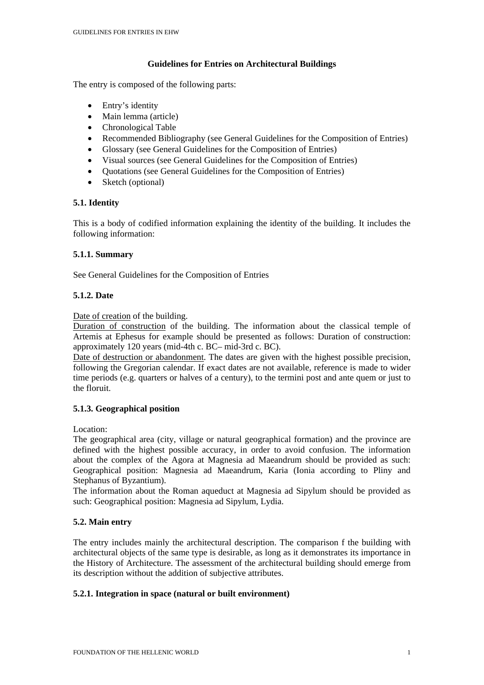## **Guidelines for Entries on Architectural Buildings**

The entry is composed of the following parts:

- Entry's identity
- Main lemma (article)
- Chronological Table
- Recommended Bibliography (see General Guidelines for the Composition of Entries)
- Glossary (see General Guidelines for the Composition of Entries)
- Visual sources (see General Guidelines for the Composition of Entries)
- Quotations (see General Guidelines for the Composition of Entries)
- Sketch (optional)

## **5.1. Identity**

This is a body of codified information explaining the identity of the building. It includes the following information:

## **5.1.1. Summary**

See General Guidelines for the Composition of Entries

## **5.1.2. Date**

Date of creation of the building.

Duration of construction of the building. The information about the classical temple of Artemis at Ephesus for example should be presented as follows: Duration of construction: approximately 120 years (mid-4th c. BC– mid-3rd c. BC).

Date of destruction or abandonment. The dates are given with the highest possible precision, following the Gregorian calendar. If exact dates are not available, reference is made to wider time periods (e.g. quarters or halves of a century), to the termini post and ante quem or just to the floruit.

## **5.1.3. Geographical position**

Location:

The geographical area (city, village or natural geographical formation) and the province are defined with the highest possible accuracy, in order to avoid confusion. The information about the complex of the Agora at Magnesia ad Maeandrum should be provided as such: Geographical position: Magnesia ad Maeandrum, Karia (Ionia according to Pliny and Stephanus of Byzantium).

The information about the Roman aqueduct at Magnesia ad Sipylum should be provided as such: Geographical position: Magnesia ad Sipylum, Lydia.

# **5.2. Main entry**

The entry includes mainly the architectural description. The comparison f the building with architectural objects of the same type is desirable, as long as it demonstrates its importance in the History of Architecture. The assessment of the architectural building should emerge from its description without the addition of subjective attributes.

## **5.2.1. Integration in space (natural or built environment)**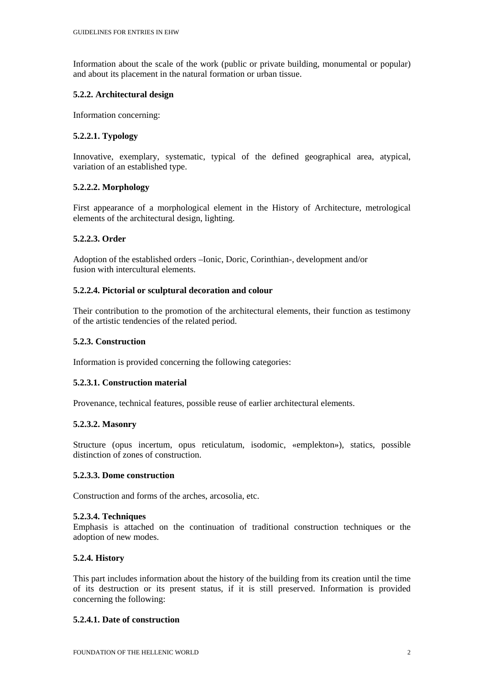Information about the scale of the work (public or private building, monumental or popular) and about its placement in the natural formation or urban tissue.

### **5.2.2. Architectural design**

Information concerning:

## **5.2.2.1. Typology**

Innovative, exemplary, systematic, typical of the defined geographical area, atypical, variation of an established type.

## **5.2.2.2. Morphology**

First appearance of a morphological element in the History of Architecture, metrological elements of the architectural design, lighting.

### **5.2.2.3. Order**

Adoption of the established orders –Ionic, Doric, Corinthian-, development and/or fusion with intercultural elements.

### **5.2.2.4. Pictorial or sculptural decoration and colour**

Their contribution to the promotion of the architectural elements, their function as testimony of the artistic tendencies of the related period.

### **5.2.3. Construction**

Information is provided concerning the following categories:

## **5.2.3.1. Construction material**

Provenance, technical features, possible reuse of earlier architectural elements.

#### **5.2.3.2. Masonry**

Structure (opus incertum, opus reticulatum, isodomic, «emplekton»), statics, possible distinction of zones of construction.

### **5.2.3.3. Dome construction**

Construction and forms of the arches, arcosolia, etc.

#### **5.2.3.4. Techniques**

Emphasis is attached on the continuation of traditional construction techniques or the adoption of new modes.

## **5.2.4. History**

This part includes information about the history of the building from its creation until the time of its destruction or its present status, if it is still preserved. Information is provided concerning the following:

#### **5.2.4.1. Date of construction**